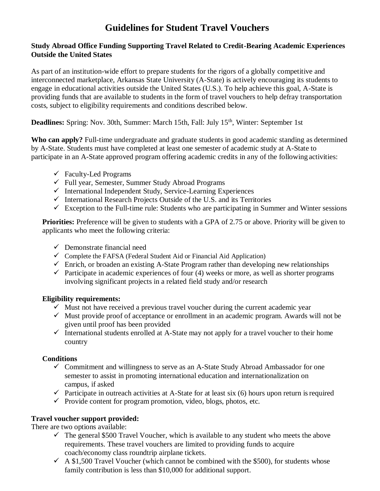# **Guidelines for Student Travel Vouchers**

#### **Study Abroad Office Funding Supporting Travel Related to Credit-Bearing Academic Experiences Outside the United States**

As part of an institution-wide effort to prepare students for the rigors of a globally competitive and interconnected marketplace, Arkansas State University (A-State) is actively encouraging its students to engage in educational activities outside the United States (U.S.). To help achieve this goal, A-State is providing funds that are available to students in the form of travel vouchers to help defray transportation costs, subject to eligibility requirements and conditions described below.

**Deadlines:** Spring: Nov. 30th, Summer: March 15th, Fall: July 15<sup>th</sup>, Winter: September 1st

**Who can apply?** Full-time undergraduate and graduate students in good academic standing as determined by A-State. Students must have completed at least one semester of academic study at A-State to participate in an A-State approved program offering academic credits in any of the following activities:

- $\checkmark$  Faculty-Led Programs
- $\checkmark$  Full year, Semester, Summer Study Abroad Programs
- $\checkmark$  International Independent Study, Service-Learning Experiences
- $\checkmark$  International Research Projects Outside of the U.S. and its Territories
- $\checkmark$  Exception to the Full-time rule: Students who are participating in Summer and Winter sessions

**Priorities:** Preference will be given to students with a GPA of 2.75 or above. Priority will be given to applicants who meet the following criteria:

- $\checkmark$  Demonstrate financial need
- $\checkmark$  Complete the FAFSA (Federal Student Aid or Financial Aid Application)
- $\checkmark$  Enrich, or broaden an existing A-State Program rather than developing new relationships
- $\checkmark$  Participate in academic experiences of four (4) weeks or more, as well as shorter programs involving significant projects in a related field study and/or research

#### **Eligibility requirements:**

- $\checkmark$  Must not have received a previous travel voucher during the current academic year
- $\checkmark$  Must provide proof of acceptance or enrollment in an academic program. Awards will not be given until proof has been provided
- $\checkmark$  International students enrolled at A-State may not apply for a travel voucher to their home country

## **Conditions**

- $\checkmark$  Commitment and willingness to serve as an A-State Study Abroad Ambassador for one semester to assist in promoting international education and internationalization on campus, if asked
- $\checkmark$  Participate in outreach activities at A-State for at least six (6) hours upon return is required
- $\checkmark$  Provide content for program promotion, video, blogs, photos, etc.

## **Travel voucher support provided:**

There are two options available:

- $\checkmark$  The general \$500 Travel Voucher, which is available to any student who meets the above requirements. These travel vouchers are limited to providing funds to acquire coach/economy class roundtrip airplane tickets.
- $\sim$  A \$1,500 Travel Voucher (which cannot be combined with the \$500), for students whose family contribution is less than \$10,000 for additional support.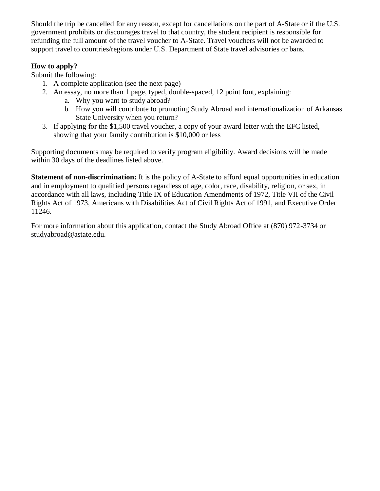Should the trip be cancelled for any reason, except for cancellations on the part of A-State or if the U.S. government prohibits or discourages travel to that country, the student recipient is responsible for refunding the full amount of the travel voucher to A-State. Travel vouchers will not be awarded to support travel to countries/regions under U.S. Department of State travel advisories or bans.

## **How to apply?**

Submit the following:

- 1. A complete application (see the next page)
- 2. An essay, no more than 1 page, typed, double-spaced, 12 point font, explaining:
	- a. Why you want to study abroad?
	- b. How you will contribute to promoting Study Abroad and internationalization of Arkansas State University when you return?
- 3. If applying for the \$1,500 travel voucher, a copy of your award letter with the EFC listed, showing that your family contribution is \$10,000 or less

Supporting documents may be required to verify program eligibility. Award decisions will be made within 30 days of the deadlines listed above.

**Statement of non-discrimination:** It is the policy of A-State to afford equal opportunities in education and in employment to qualified persons regardless of age, color, race, disability, religion, or sex, in accordance with all laws, including Title IX of Education Amendments of 1972, Title VII of the Civil Rights Act of 1973, Americans with Disabilities Act of Civil Rights Act of 1991, and Executive Order 11246.

For more information about this application, contact the Study Abroad Office at (870) 972-3734 or [studyabroad@astate.edu.](mailto:studyabroad@astate.edu)